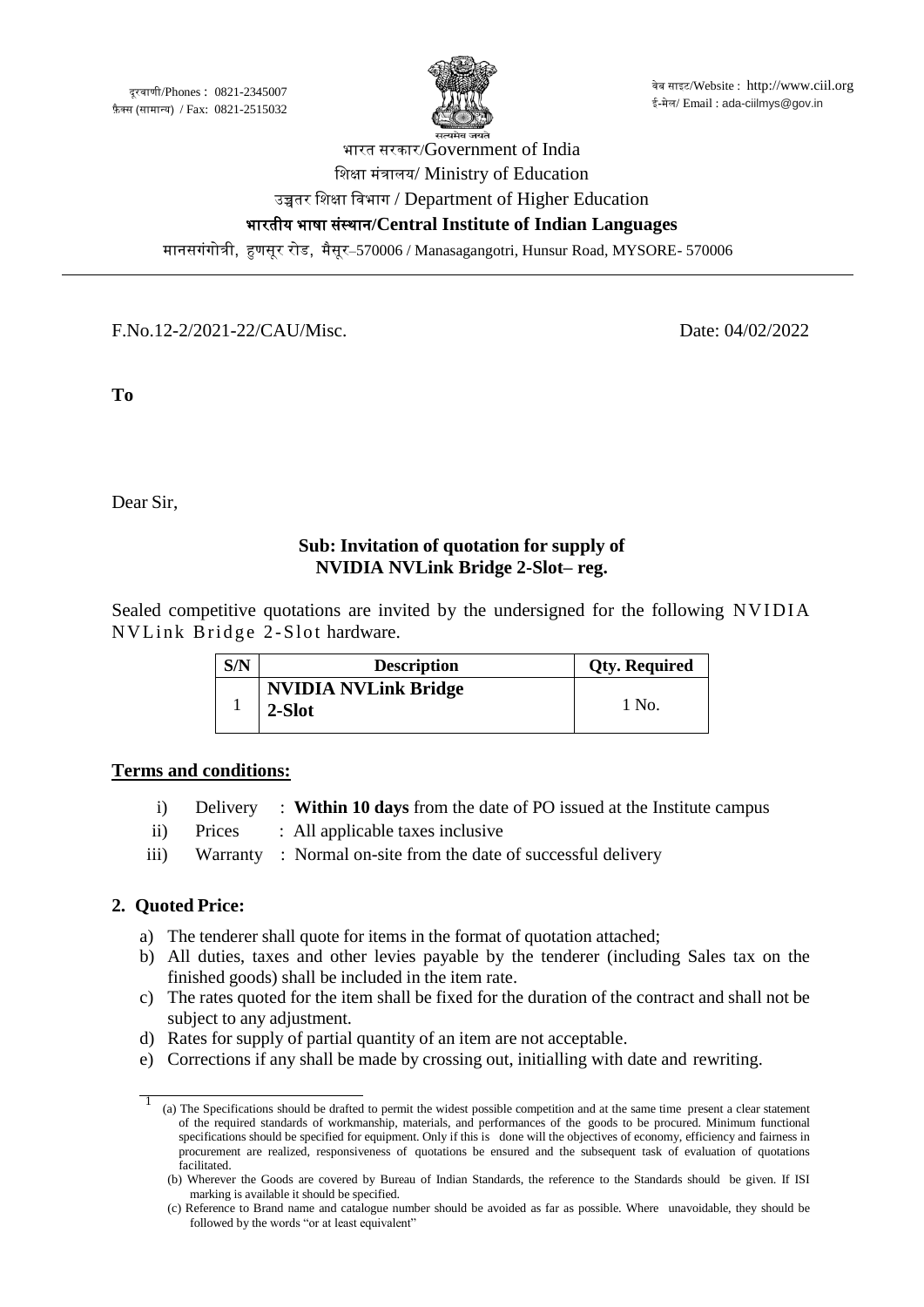

# भारत सरकार/Government of India शिक्षा मंत्रालय/ Ministry of Education उच्चतर शिक्षा शिभाग / Department of Higher Education भारतीय भाषा संस्थान**/Central Institute of Indian Languages**

मानसगंगोत्री, हुणसूर रोड, मैसूर–570006 / Manasagangotri, Hunsur Road, MYSORE- 570006

F.No.12-2/2021-22/CAU/Misc. Date: 04/02/2022

**To**

j

Dear Sir,

## **Sub: Invitation of quotation for supply of NVIDIA NVLink Bridge 2-Slot– reg.**

Sealed competitive quotations are invited by the undersigned for the following NVIDIA NV Link Bridge 2-Slot hardware.

| S/N | <b>Description</b>                    | <b>Qty. Required</b> |
|-----|---------------------------------------|----------------------|
|     | <b>NVIDIA NVLink Bridge</b><br>2-Slot | - No                 |

#### **Terms and conditions:**

- i) Delivery : **Within 10 days** from the date of PO issued at the Institute campus
- ii) Prices : All applicable taxes inclusive
- iii) Warranty : Normal on-site from the date of successful delivery

#### **2. Quoted Price:**

- a) The tenderer shall quote for items in the format of quotation attached;
- b) All duties, taxes and other levies payable by the tenderer (including Sales tax on the finished goods) shall be included in the item rate.
- c) The rates quoted for the item shall be fixed for the duration of the contract and shall not be subject to any adjustment.
- d) Rates for supply of partial quantity of an item are not acceptable.
- e) Corrections if any shall be made by crossing out, initialling with date and rewriting.

<sup>1 (</sup>a) The Specifications should be drafted to permit the widest possible competition and at the same time present a clear statement of the required standards of workmanship, materials, and performances of the goods to be procured. Minimum functional specifications should be specified for equipment. Only if this is done will the objectives of economy, efficiency and fairness in procurement are realized, responsiveness of quotations be ensured and the subsequent task of evaluation of quotations facilitated.

<sup>(</sup>b) Wherever the Goods are covered by Bureau of Indian Standards, the reference to the Standards should be given. If ISI marking is available it should be specified.

<sup>(</sup>c) Reference to Brand name and catalogue number should be avoided as far as possible. Where unavoidable, they should be followed by the words "or at least equivalent"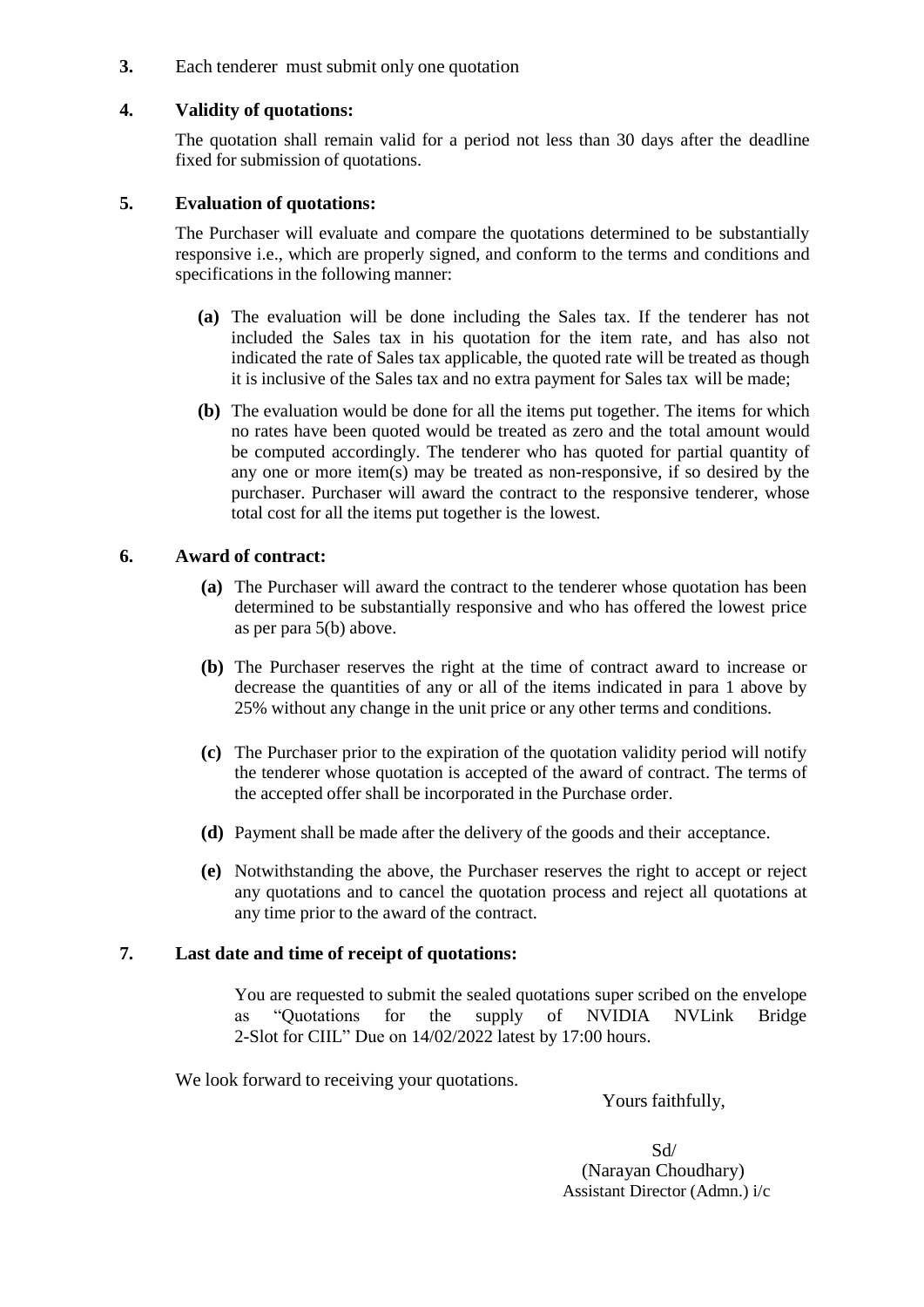**3.** Each tenderer must submit only one quotation

#### **4. Validity of quotations:**

The quotation shall remain valid for a period not less than 30 days after the deadline fixed for submission of quotations.

#### **5. Evaluation of quotations:**

The Purchaser will evaluate and compare the quotations determined to be substantially responsive i.e., which are properly signed, and conform to the terms and conditions and specifications in the following manner:

- **(a)** The evaluation will be done including the Sales tax. If the tenderer has not included the Sales tax in his quotation for the item rate, and has also not indicated the rate of Sales tax applicable, the quoted rate will be treated as though it is inclusive of the Sales tax and no extra payment for Sales tax will be made;
- **(b)** The evaluation would be done for all the items put together. The items for which no rates have been quoted would be treated as zero and the total amount would be computed accordingly. The tenderer who has quoted for partial quantity of any one or more item(s) may be treated as non-responsive, if so desired by the purchaser. Purchaser will award the contract to the responsive tenderer, whose total cost for all the items put together is the lowest.

#### **6. Award of contract:**

- **(a)** The Purchaser will award the contract to the tenderer whose quotation has been determined to be substantially responsive and who has offered the lowest price as per para 5(b) above.
- **(b)** The Purchaser reserves the right at the time of contract award to increase or decrease the quantities of any or all of the items indicated in para 1 above by 25% without any change in the unit price or any other terms and conditions.
- **(c)** The Purchaser prior to the expiration of the quotation validity period will notify the tenderer whose quotation is accepted of the award of contract. The terms of the accepted offer shall be incorporated in the Purchase order.
- **(d)** Payment shall be made after the delivery of the goods and their acceptance.
- **(e)** Notwithstanding the above, the Purchaser reserves the right to accept or reject any quotations and to cancel the quotation process and reject all quotations at any time prior to the award of the contract.

#### **7. Last date and time of receipt of quotations:**

You are requested to submit the sealed quotations super scribed on the envelope as "Quotations for the supply of NVIDIA NVLink Bridge 2-Slot for CIIL" Due on 14/02/2022 latest by 17:00 hours.

We look forward to receiving your quotations.

Yours faithfully,

 Sd/ (Narayan Choudhary) Assistant Director (Admn.) i/c